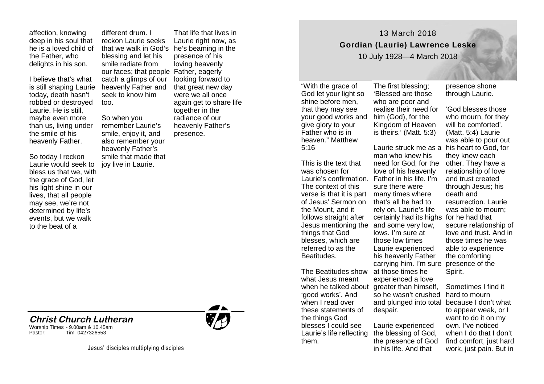affection, knowing deep in his soul that he is a loved child of the Father, who delights in his son.

I believe that's what is still shaping Laurie today, death hasn't robbed or destroyed Laurie. He is still, maybe even more than us, living under the smile of his heavenly Father.

So today I reckon Laurie would seek to bless us that we, with the grace of God, let his light shine in our lives, that all people may see, we're not determined by life's events, but we walk to the beat of a

different drum. I reckon Laurie seeks blessing and let his smile radiate from our faces; that people Father, eagerly catch a glimps of our heavenly Father and seek to know him too.

So when you remember Laurie's smile, enjoy it, and also remember your heavenly Father's smile that made that joy live in Laurie.

that we walk in God's he's beaming in the That life that lives in Laurie right now, as presence of his loving heavenly looking forward to that great new day were we all once again get to share life together in the radiance of our heavenly Father's presence.



13 March 2018 **Gordian (Laurie) Lawrence Leske**

10 July 1928—4 March 2018

"With the grace of God let your light so shine before men, that they may see your good works and him (God), for the give glory to your Father who is in heaven." Matthew 5:16

This is the text that was chosen for The context of this verse is that it is part many times where the Mount, and it follows straight after things that God blesses, which are referred to as the Beatitudes.

The Beatitudes show what Jesus meant 'good works'. And when I read over these statements of the things God blesses I could see Laurie's life reflecting them.

The first blessing; 'Blessed are those who are poor and realise their need for Kingdom of Heaven is theirs.' (Matt. 5:3)

Laurie's confirmation. Father in his life. I'm of Jesus' Sermon on that's all he had to Jesus mentioning the and some very low, when he talked about greater than himself, man who knew his love of his heavenly sure there were rely on. Laurie's life certainly had its highs for he had that lows. I'm sure at those low times Laurie experienced his heavenly Father carrying him. I'm sure presence of the at those times he experienced a love so he wasn't crushed despair.

> Laurie experienced the blessing of God, the presence of God in his life. And that

presence shone through Laurie.

Laurie struck me as a his heart to God, for need for God, for the other. They have a 'God blesses those who mourn, for they will be comforted'. (Matt. 5:4) Laurie was able to pour out they knew each relationship of love and trust created through Jesus; his death and resurrection. Laurie was able to mourn; secure relationship of love and trust. And in those times he was able to experience the comforting Spirit.

and plunged into total because I don't what Sometimes I find it hard to mourn to appear weak, or I want to do it on my own. I've noticed when I do that I don't find comfort, just hard work, just pain. But in

**Christ Church Lutheran** Worship Times - 9.00am & 10.45am

Tim 0427326553

Jesus' disciples multiplying disciples